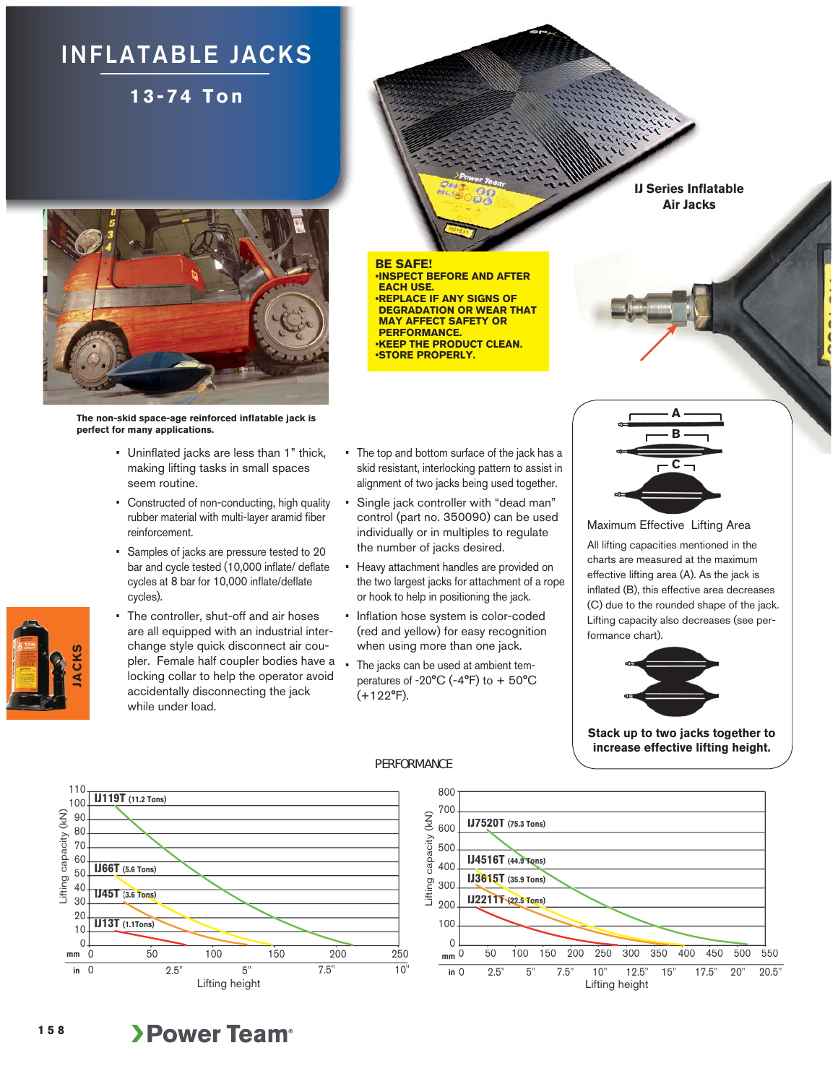## **INFLATABLE JACKS**

**13-74 Ton**



**The non-skid space-age reinforced inflatable jack is perfect for many applications.**

- Uninflated jacks are less than 1" thick, making lifting tasks in small spaces seem routine.
- Constructed of non-conducting, high quality rubber material with multi-layer aramid fiber reinforcement.
- Samples of jacks are pressure tested to 20 bar and cycle tested (10,000 inflate/ deflate cycles at 8 bar for 10,000 inflate/deflate cycles).
- The controller, shut-off and air hoses are all equipped with an industrial interchange style quick disconnect air coupler. Female half coupler bodies have a locking collar to help the operator avoid accidentally disconnecting the jack while under load.

• The top and bottom surface of the jack has a skid resistant, interlocking pattern to assist in alignment of two jacks being used together.

**• INSPECT BEFORE AND AFTER** 

**• REPLACE IF ANY SIGNS OF DEGRADATION OR WEAR THAT MAY AFFECT SAFETY OR PERFORMANCE.**

**• KEEP THE PRODUCT CLEAN. •STORE PROPERLY.**

**BE SAFE!**

**EACH USE.** 

- Single jack controller with "dead man" control (part no. 350090) can be used individually or in multiples to regulate the number of jacks desired.
- Heavy attachment handles are provided on the two largest jacks for attachment of a rope or hook to help in positioning the jack.
- Inflation hose system is color-coded (red and yellow) for easy recognition when using more than one jack.
- The jacks can be used at ambient temperatures of -20°C (-4°F) to + 50°C (+122°F).

**IJ4516T (44.9 Tons) 9 Ton**

**IJ3615T (35.9 Tons)**

**IJ7520T (75.3 Tons)**

**IJ2211T** (22.5 Tons)

**mm in**

Lifting capacity (kN)

Lifting

capacity

 $(KN)$ 



**IJ Series Inflatable Air Jacks**

Maximum Effective Lifting Area All lifting capacities mentioned in the charts are measured at the maximum effective lifting area (A). As the jack is inflated (B), this effective area decreases (C) due to the rounded shape of the jack. Lifting capacity also decreases (see performance chart).



0 50 100 150 200 250 300 350 400 450 500 550

**Stack up to two jacks together to increase effective lifting height.**



## PERFORMANCE

## **>Power Team<sup>®</sup>**

**JACKS**